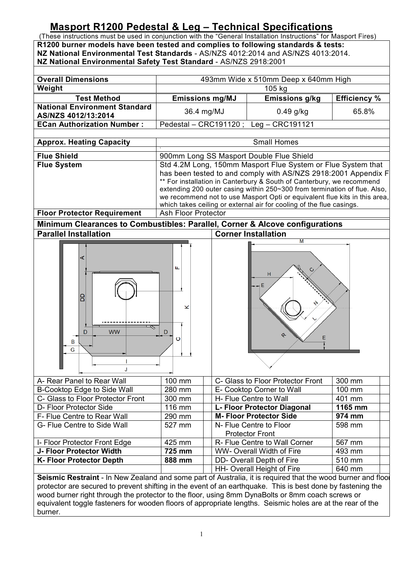## **Masport R1200 Pedestal & Leg – Technical Specifications**

(These instructions must be used in conjunction with the "General Installation Instructions" for Masport Fires) **R1200 burner models have been tested and complies to following standards & tests: NZ National Environmental Test Standards** - AS/NZS 4012:2014 and AS/NZS 4013:2014. **NZ National Environmental Safety Test Standard** - AS/NZS 2918:2001

| <b>Overall Dimensions</b>                                                                                                                                                                                                                                                                                                                                                                                                                                                                       | 493mm Wide x 510mm Deep x 640mm High                                                                                                                                                                                                                                                                                                                                                                                                       |        |                                                              |                     |
|-------------------------------------------------------------------------------------------------------------------------------------------------------------------------------------------------------------------------------------------------------------------------------------------------------------------------------------------------------------------------------------------------------------------------------------------------------------------------------------------------|--------------------------------------------------------------------------------------------------------------------------------------------------------------------------------------------------------------------------------------------------------------------------------------------------------------------------------------------------------------------------------------------------------------------------------------------|--------|--------------------------------------------------------------|---------------------|
| Weight                                                                                                                                                                                                                                                                                                                                                                                                                                                                                          |                                                                                                                                                                                                                                                                                                                                                                                                                                            |        | 105 kg                                                       |                     |
| <b>Test Method</b>                                                                                                                                                                                                                                                                                                                                                                                                                                                                              | <b>Emissions mg/MJ</b>                                                                                                                                                                                                                                                                                                                                                                                                                     |        | <b>Emissions g/kg</b>                                        | <b>Efficiency %</b> |
| <b>National Environment Standard</b><br>AS/NZS 4012/13:2014                                                                                                                                                                                                                                                                                                                                                                                                                                     | 36.4 mg/MJ                                                                                                                                                                                                                                                                                                                                                                                                                                 |        | $0.49$ g/kg                                                  | 65.8%               |
| <b>ECan Authorization Number:</b>                                                                                                                                                                                                                                                                                                                                                                                                                                                               | Leg - CRC191121<br>Pedestal - CRC191120;                                                                                                                                                                                                                                                                                                                                                                                                   |        |                                                              |                     |
|                                                                                                                                                                                                                                                                                                                                                                                                                                                                                                 |                                                                                                                                                                                                                                                                                                                                                                                                                                            |        |                                                              |                     |
| <b>Approx. Heating Capacity</b>                                                                                                                                                                                                                                                                                                                                                                                                                                                                 | <b>Small Homes</b>                                                                                                                                                                                                                                                                                                                                                                                                                         |        |                                                              |                     |
| <b>Flue Shield</b>                                                                                                                                                                                                                                                                                                                                                                                                                                                                              | 900mm Long SS Masport Double Flue Shield                                                                                                                                                                                                                                                                                                                                                                                                   |        |                                                              |                     |
| <b>Flue System</b>                                                                                                                                                                                                                                                                                                                                                                                                                                                                              | Std 4.2M Long, 150mm Masport Flue System or Flue System that<br>has been tested to and comply with AS/NZS 2918:2001 Appendix F<br>** For installation in Canterbury & South of Canterbury, we recommend<br>extending 200 outer casing within 250~300 from termination of flue. Also,<br>we recommend not to use Masport Opti or equivalent flue kits in this area,<br>which takes ceiling or external air for cooling of the flue casings. |        |                                                              |                     |
| <b>Floor Protector Requirement</b>                                                                                                                                                                                                                                                                                                                                                                                                                                                              | <b>Ash Floor Protector</b>                                                                                                                                                                                                                                                                                                                                                                                                                 |        |                                                              |                     |
|                                                                                                                                                                                                                                                                                                                                                                                                                                                                                                 | Minimum Clearances to Combustibles: Parallel, Corner & Alcove configurations                                                                                                                                                                                                                                                                                                                                                               |        |                                                              |                     |
| <b>Parallel Installation</b>                                                                                                                                                                                                                                                                                                                                                                                                                                                                    | <b>Corner Installation</b><br>М                                                                                                                                                                                                                                                                                                                                                                                                            |        |                                                              |                     |
| ⋖<br>B<br><b>WW</b><br>D<br>B<br>G                                                                                                                                                                                                                                                                                                                                                                                                                                                              | щ<br>×<br>D<br>ပ                                                                                                                                                                                                                                                                                                                                                                                                                           | н<br>᠙ |                                                              |                     |
| A- Rear Panel to Rear Wall                                                                                                                                                                                                                                                                                                                                                                                                                                                                      | 100 mm                                                                                                                                                                                                                                                                                                                                                                                                                                     |        | C- Glass to Floor Protector Front                            | 300 mm              |
| B-Cooktop Edge to Side Wall                                                                                                                                                                                                                                                                                                                                                                                                                                                                     | 280 mm                                                                                                                                                                                                                                                                                                                                                                                                                                     |        | E- Cooktop Corner to Wall                                    | 100 mm              |
| C- Glass to Floor Protector Front                                                                                                                                                                                                                                                                                                                                                                                                                                                               | 300 mm                                                                                                                                                                                                                                                                                                                                                                                                                                     |        | H- Flue Centre to Wall                                       | 401 mm              |
| D- Floor Protector Side<br>F- Flue Centre to Rear Wall                                                                                                                                                                                                                                                                                                                                                                                                                                          | 116 mm<br>290 mm                                                                                                                                                                                                                                                                                                                                                                                                                           |        | L- Floor Protector Diagonal<br><b>M-Floor Protector Side</b> | 1165 mm<br>974 mm   |
| G- Flue Centre to Side Wall                                                                                                                                                                                                                                                                                                                                                                                                                                                                     | 527 mm                                                                                                                                                                                                                                                                                                                                                                                                                                     |        | N- Flue Centre to Floor<br><b>Protector Front</b>            | 598 mm              |
| I- Floor Protector Front Edge                                                                                                                                                                                                                                                                                                                                                                                                                                                                   | 425 mm                                                                                                                                                                                                                                                                                                                                                                                                                                     |        | R- Flue Centre to Wall Corner                                | 567 mm              |
| J- Floor Protector Width                                                                                                                                                                                                                                                                                                                                                                                                                                                                        | 725 mm                                                                                                                                                                                                                                                                                                                                                                                                                                     |        | <b>WW-Overall Width of Fire</b>                              | 493 mm              |
| <b>K-Floor Protector Depth</b>                                                                                                                                                                                                                                                                                                                                                                                                                                                                  | 888 mm                                                                                                                                                                                                                                                                                                                                                                                                                                     |        | DD- Overall Depth of Fire                                    | 510 mm              |
| HH- Overall Height of Fire<br>640 mm<br>Seismic Restraint - In New Zealand and some part of Australia, it is required that the wood burner and floo<br>protector are secured to prevent shifting in the event of an earthquake. This is best done by fastening the<br>wood burner right through the protector to the floor, using 8mm DynaBolts or 8mm coach screws or<br>equivalent toggle fasteners for wooden floors of appropriate lengths. Seismic holes are at the rear of the<br>burner. |                                                                                                                                                                                                                                                                                                                                                                                                                                            |        |                                                              |                     |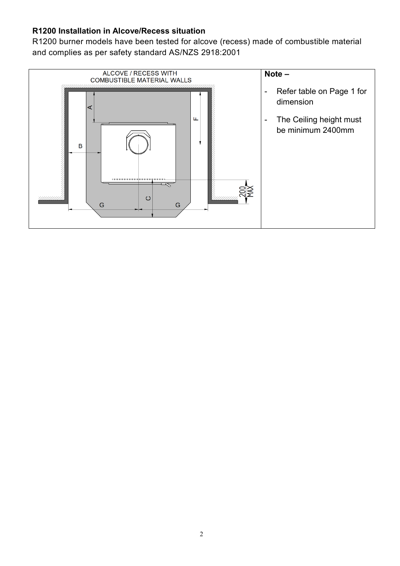## **R1200 Installation in Alcove/Recess situation**

R1200 burner models have been tested for alcove (recess) made of combustible material and complies as per safety standard AS/NZS 2918:2001